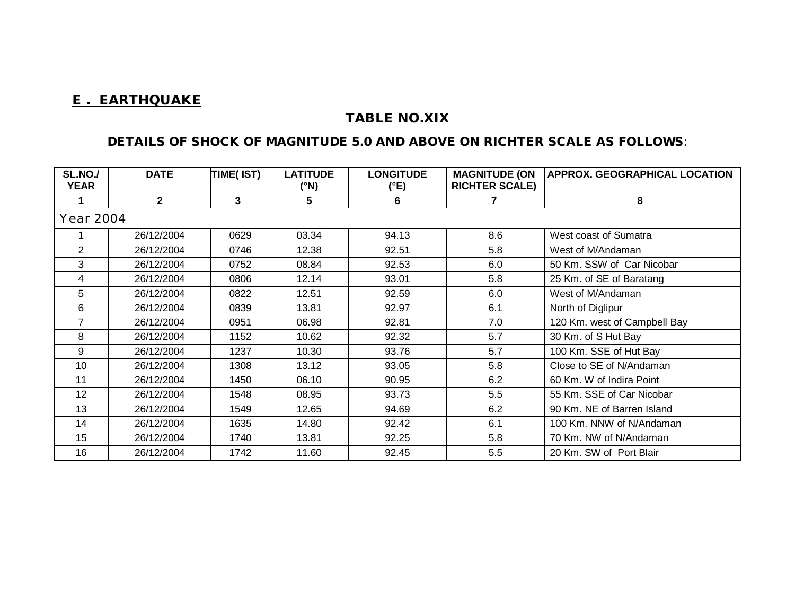## **E . EARTHQUAKE**

## **TABLE NO.XIX**

## **DETAILS OF SHOCK OF MAGNITUDE 5.0 AND ABOVE ON RICHTER SCALE AS FOLLOWS**:

| <b>SL.NO./</b><br><b>YEAR</b> | <b>DATE</b>  | TIME(IST) | <b>LATITUDE</b><br>(°N) | <b>LONGITUDE</b><br>(°E) | <b>MAGNITUDE (ON</b><br><b>RICHTER SCALE)</b> | APPROX. GEOGRAPHICAL LOCATION |
|-------------------------------|--------------|-----------|-------------------------|--------------------------|-----------------------------------------------|-------------------------------|
|                               | $\mathbf{2}$ | 3         | 5                       | 6                        |                                               | 8                             |
| Year 2004                     |              |           |                         |                          |                                               |                               |
|                               | 26/12/2004   | 0629      | 03.34                   | 94.13                    | 8.6                                           | West coast of Sumatra         |
| $\overline{2}$                | 26/12/2004   | 0746      | 12.38                   | 92.51                    | 5.8                                           | West of M/Andaman             |
| 3                             | 26/12/2004   | 0752      | 08.84                   | 92.53                    | 6.0                                           | 50 Km. SSW of Car Nicobar     |
| 4                             | 26/12/2004   | 0806      | 12.14                   | 93.01                    | 5.8                                           | 25 Km. of SE of Baratang      |
| 5                             | 26/12/2004   | 0822      | 12.51                   | 92.59                    | 6.0                                           | West of M/Andaman             |
| 6                             | 26/12/2004   | 0839      | 13.81                   | 92.97                    | 6.1                                           | North of Diglipur             |
| $\overline{7}$                | 26/12/2004   | 0951      | 06.98                   | 92.81                    | 7.0                                           | 120 Km. west of Campbell Bay  |
| 8                             | 26/12/2004   | 1152      | 10.62                   | 92.32                    | 5.7                                           | 30 Km. of S Hut Bay           |
| 9                             | 26/12/2004   | 1237      | 10.30                   | 93.76                    | 5.7                                           | 100 Km. SSE of Hut Bay        |
| 10                            | 26/12/2004   | 1308      | 13.12                   | 93.05                    | 5.8                                           | Close to SE of N/Andaman      |
| 11                            | 26/12/2004   | 1450      | 06.10                   | 90.95                    | 6.2                                           | 60 Km. W of Indira Point      |
| 12                            | 26/12/2004   | 1548      | 08.95                   | 93.73                    | 5.5                                           | 55 Km. SSE of Car Nicobar     |
| 13                            | 26/12/2004   | 1549      | 12.65                   | 94.69                    | 6.2                                           | 90 Km. NE of Barren Island    |
| 14                            | 26/12/2004   | 1635      | 14.80                   | 92.42                    | 6.1                                           | 100 Km. NNW of N/Andaman      |
| 15                            | 26/12/2004   | 1740      | 13.81                   | 92.25                    | 5.8                                           | 70 Km. NW of N/Andaman        |
| 16                            | 26/12/2004   | 1742      | 11.60                   | 92.45                    | 5.5                                           | 20 Km. SW of Port Blair       |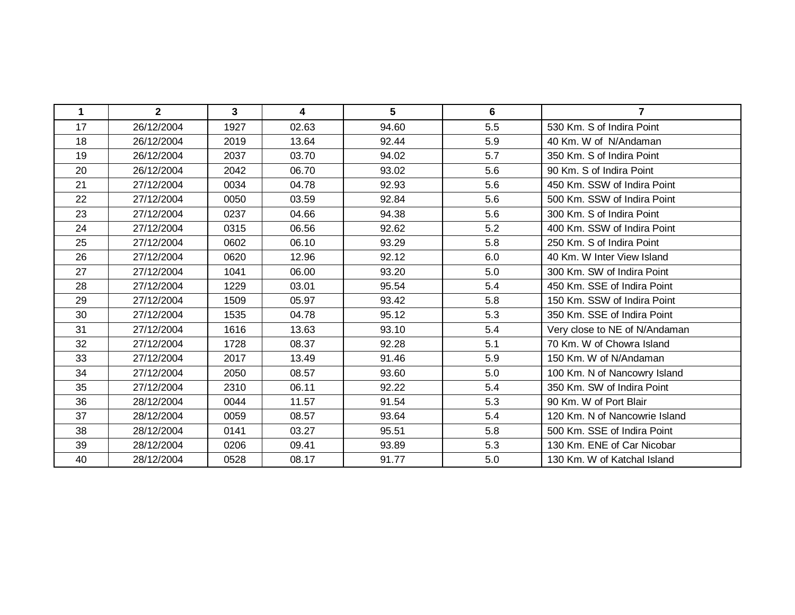| $\mathbf 1$ | $\mathbf{2}$ | $\mathbf{3}$ | $\overline{\mathbf{4}}$ | 5     | 6   | $\overline{7}$                |
|-------------|--------------|--------------|-------------------------|-------|-----|-------------------------------|
| 17          | 26/12/2004   | 1927         | 02.63                   | 94.60 | 5.5 | 530 Km. S of Indira Point     |
| 18          | 26/12/2004   | 2019         | 13.64                   | 92.44 | 5.9 | 40 Km. W of N/Andaman         |
| 19          | 26/12/2004   | 2037         | 03.70                   | 94.02 | 5.7 | 350 Km. S of Indira Point     |
| 20          | 26/12/2004   | 2042         | 06.70                   | 93.02 | 5.6 | 90 Km. S of Indira Point      |
| 21          | 27/12/2004   | 0034         | 04.78                   | 92.93 | 5.6 | 450 Km. SSW of Indira Point   |
| 22          | 27/12/2004   | 0050         | 03.59                   | 92.84 | 5.6 | 500 Km. SSW of Indira Point   |
| 23          | 27/12/2004   | 0237         | 04.66                   | 94.38 | 5.6 | 300 Km. S of Indira Point     |
| 24          | 27/12/2004   | 0315         | 06.56                   | 92.62 | 5.2 | 400 Km. SSW of Indira Point   |
| 25          | 27/12/2004   | 0602         | 06.10                   | 93.29 | 5.8 | 250 Km. S of Indira Point     |
| 26          | 27/12/2004   | 0620         | 12.96                   | 92.12 | 6.0 | 40 Km. W Inter View Island    |
| 27          | 27/12/2004   | 1041         | 06.00                   | 93.20 | 5.0 | 300 Km. SW of Indira Point    |
| 28          | 27/12/2004   | 1229         | 03.01                   | 95.54 | 5.4 | 450 Km. SSE of Indira Point   |
| 29          | 27/12/2004   | 1509         | 05.97                   | 93.42 | 5.8 | 150 Km. SSW of Indira Point   |
| 30          | 27/12/2004   | 1535         | 04.78                   | 95.12 | 5.3 | 350 Km. SSE of Indira Point   |
| 31          | 27/12/2004   | 1616         | 13.63                   | 93.10 | 5.4 | Very close to NE of N/Andaman |
| 32          | 27/12/2004   | 1728         | 08.37                   | 92.28 | 5.1 | 70 Km. W of Chowra Island     |
| 33          | 27/12/2004   | 2017         | 13.49                   | 91.46 | 5.9 | 150 Km. W of N/Andaman        |
| 34          | 27/12/2004   | 2050         | 08.57                   | 93.60 | 5.0 | 100 Km. N of Nancowry Island  |
| 35          | 27/12/2004   | 2310         | 06.11                   | 92.22 | 5.4 | 350 Km. SW of Indira Point    |
| 36          | 28/12/2004   | 0044         | 11.57                   | 91.54 | 5.3 | 90 Km. W of Port Blair        |
| 37          | 28/12/2004   | 0059         | 08.57                   | 93.64 | 5.4 | 120 Km. N of Nancowrie Island |
| 38          | 28/12/2004   | 0141         | 03.27                   | 95.51 | 5.8 | 500 Km. SSE of Indira Point   |
| 39          | 28/12/2004   | 0206         | 09.41                   | 93.89 | 5.3 | 130 Km. ENE of Car Nicobar    |
| 40          | 28/12/2004   | 0528         | 08.17                   | 91.77 | 5.0 | 130 Km. W of Katchal Island   |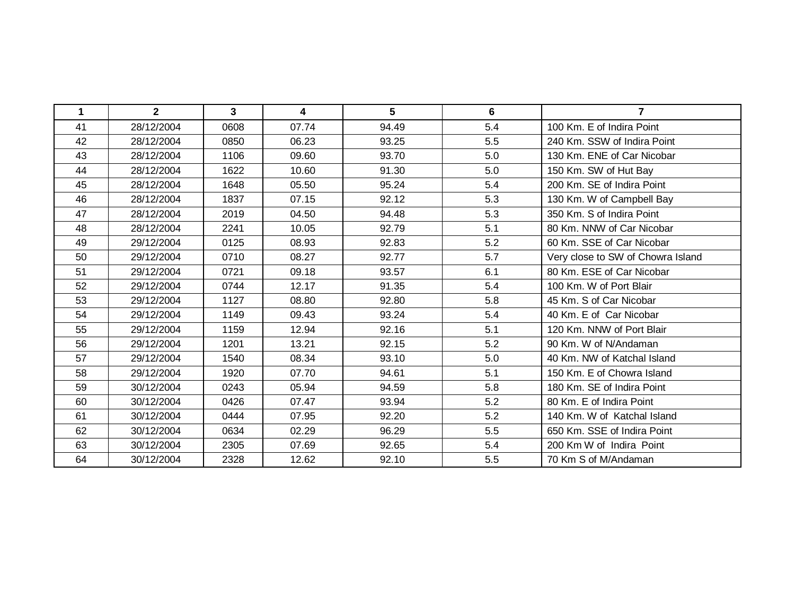| $\mathbf 1$ | $\mathbf{2}$ | $\mathbf{3}$ | 4     | $5\phantom{1}$ | 6   | $\overline{7}$                    |
|-------------|--------------|--------------|-------|----------------|-----|-----------------------------------|
| 41          | 28/12/2004   | 0608         | 07.74 | 94.49          | 5.4 | 100 Km. E of Indira Point         |
| 42          | 28/12/2004   | 0850         | 06.23 | 93.25          | 5.5 | 240 Km. SSW of Indira Point       |
| 43          | 28/12/2004   | 1106         | 09.60 | 93.70          | 5.0 | 130 Km. ENE of Car Nicobar        |
| 44          | 28/12/2004   | 1622         | 10.60 | 91.30          | 5.0 | 150 Km. SW of Hut Bay             |
| 45          | 28/12/2004   | 1648         | 05.50 | 95.24          | 5.4 | 200 Km. SE of Indira Point        |
| 46          | 28/12/2004   | 1837         | 07.15 | 92.12          | 5.3 | 130 Km. W of Campbell Bay         |
| 47          | 28/12/2004   | 2019         | 04.50 | 94.48          | 5.3 | 350 Km. S of Indira Point         |
| 48          | 28/12/2004   | 2241         | 10.05 | 92.79          | 5.1 | 80 Km. NNW of Car Nicobar         |
| 49          | 29/12/2004   | 0125         | 08.93 | 92.83          | 5.2 | 60 Km. SSE of Car Nicobar         |
| 50          | 29/12/2004   | 0710         | 08.27 | 92.77          | 5.7 | Very close to SW of Chowra Island |
| 51          | 29/12/2004   | 0721         | 09.18 | 93.57          | 6.1 | 80 Km. ESE of Car Nicobar         |
| 52          | 29/12/2004   | 0744         | 12.17 | 91.35          | 5.4 | 100 Km. W of Port Blair           |
| 53          | 29/12/2004   | 1127         | 08.80 | 92.80          | 5.8 | 45 Km. S of Car Nicobar           |
| 54          | 29/12/2004   | 1149         | 09.43 | 93.24          | 5.4 | 40 Km. E of Car Nicobar           |
| 55          | 29/12/2004   | 1159         | 12.94 | 92.16          | 5.1 | 120 Km. NNW of Port Blair         |
| 56          | 29/12/2004   | 1201         | 13.21 | 92.15          | 5.2 | 90 Km. W of N/Andaman             |
| 57          | 29/12/2004   | 1540         | 08.34 | 93.10          | 5.0 | 40 Km. NW of Katchal Island       |
| 58          | 29/12/2004   | 1920         | 07.70 | 94.61          | 5.1 | 150 Km. E of Chowra Island        |
| 59          | 30/12/2004   | 0243         | 05.94 | 94.59          | 5.8 | 180 Km. SE of Indira Point        |
| 60          | 30/12/2004   | 0426         | 07.47 | 93.94          | 5.2 | 80 Km. E of Indira Point          |
| 61          | 30/12/2004   | 0444         | 07.95 | 92.20          | 5.2 | 140 Km. W of Katchal Island       |
| 62          | 30/12/2004   | 0634         | 02.29 | 96.29          | 5.5 | 650 Km. SSE of Indira Point       |
| 63          | 30/12/2004   | 2305         | 07.69 | 92.65          | 5.4 | 200 Km W of Indira Point          |
| 64          | 30/12/2004   | 2328         | 12.62 | 92.10          | 5.5 | 70 Km S of M/Andaman              |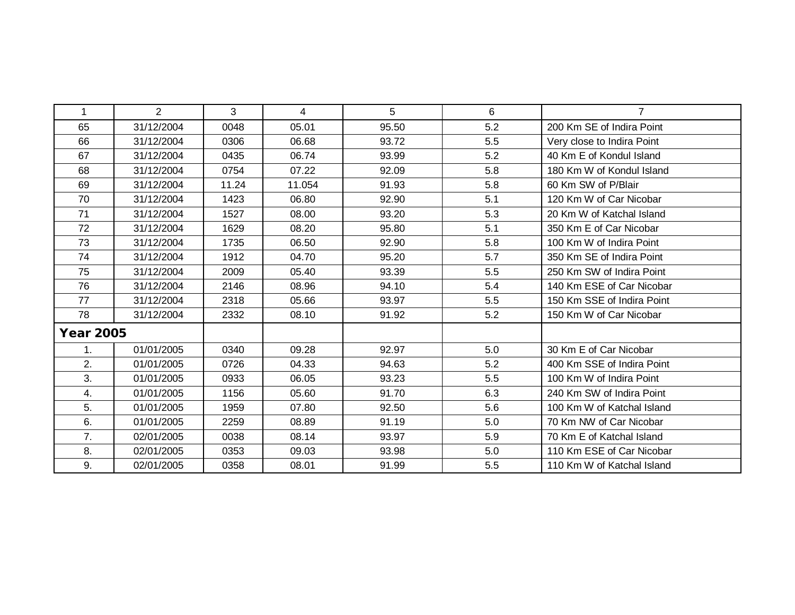| 1                | $\overline{2}$ | 3     | 4      | 5     | 6   | $\overline{7}$             |
|------------------|----------------|-------|--------|-------|-----|----------------------------|
| 65               | 31/12/2004     | 0048  | 05.01  | 95.50 | 5.2 | 200 Km SE of Indira Point  |
| 66               | 31/12/2004     | 0306  | 06.68  | 93.72 | 5.5 | Very close to Indira Point |
| 67               | 31/12/2004     | 0435  | 06.74  | 93.99 | 5.2 | 40 Km E of Kondul Island   |
| 68               | 31/12/2004     | 0754  | 07.22  | 92.09 | 5.8 | 180 Km W of Kondul Island  |
| 69               | 31/12/2004     | 11.24 | 11.054 | 91.93 | 5.8 | 60 Km SW of P/Blair        |
| 70               | 31/12/2004     | 1423  | 06.80  | 92.90 | 5.1 | 120 Km W of Car Nicobar    |
| 71               | 31/12/2004     | 1527  | 08.00  | 93.20 | 5.3 | 20 Km W of Katchal Island  |
| 72               | 31/12/2004     | 1629  | 08.20  | 95.80 | 5.1 | 350 Km E of Car Nicobar    |
| 73               | 31/12/2004     | 1735  | 06.50  | 92.90 | 5.8 | 100 Km W of Indira Point   |
| 74               | 31/12/2004     | 1912  | 04.70  | 95.20 | 5.7 | 350 Km SE of Indira Point  |
| 75               | 31/12/2004     | 2009  | 05.40  | 93.39 | 5.5 | 250 Km SW of Indira Point  |
| 76               | 31/12/2004     | 2146  | 08.96  | 94.10 | 5.4 | 140 Km ESE of Car Nicobar  |
| 77               | 31/12/2004     | 2318  | 05.66  | 93.97 | 5.5 | 150 Km SSE of Indira Point |
| 78               | 31/12/2004     | 2332  | 08.10  | 91.92 | 5.2 | 150 Km W of Car Nicobar    |
| <b>Year 2005</b> |                |       |        |       |     |                            |
| 1.               | 01/01/2005     | 0340  | 09.28  | 92.97 | 5.0 | 30 Km E of Car Nicobar     |
| 2.               | 01/01/2005     | 0726  | 04.33  | 94.63 | 5.2 | 400 Km SSE of Indira Point |
| 3.               | 01/01/2005     | 0933  | 06.05  | 93.23 | 5.5 | 100 Km W of Indira Point   |
| 4.               | 01/01/2005     | 1156  | 05.60  | 91.70 | 6.3 | 240 Km SW of Indira Point  |
| 5.               | 01/01/2005     | 1959  | 07.80  | 92.50 | 5.6 | 100 Km W of Katchal Island |
| 6.               | 01/01/2005     | 2259  | 08.89  | 91.19 | 5.0 | 70 Km NW of Car Nicobar    |
| 7.               | 02/01/2005     | 0038  | 08.14  | 93.97 | 5.9 | 70 Km E of Katchal Island  |
| 8.               | 02/01/2005     | 0353  | 09.03  | 93.98 | 5.0 | 110 Km ESE of Car Nicobar  |
| 9.               | 02/01/2005     | 0358  | 08.01  | 91.99 | 5.5 | 110 Km W of Katchal Island |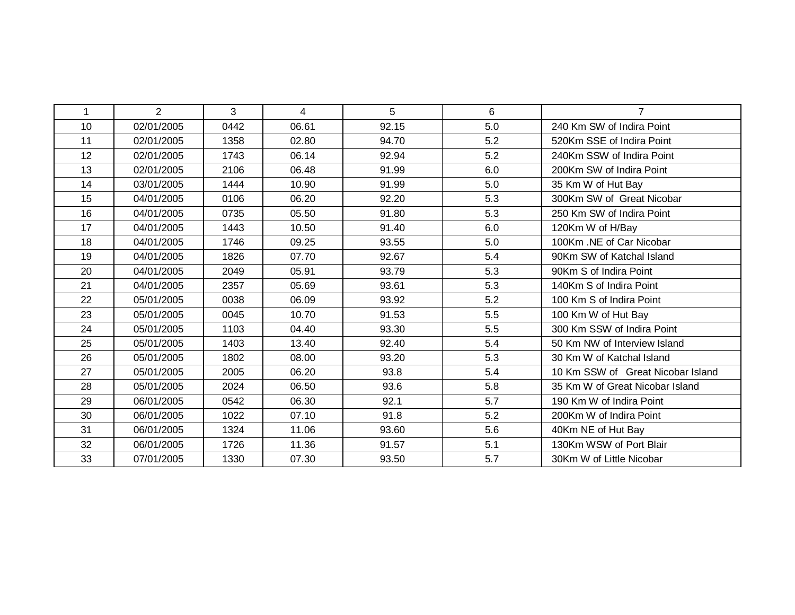| $\mathbf 1$ | $\overline{2}$ | 3    | $\overline{4}$ | 5     | 6   | $\overline{7}$                    |
|-------------|----------------|------|----------------|-------|-----|-----------------------------------|
| 10          | 02/01/2005     | 0442 | 06.61          | 92.15 | 5.0 | 240 Km SW of Indira Point         |
| 11          | 02/01/2005     | 1358 | 02.80          | 94.70 | 5.2 | 520Km SSE of Indira Point         |
| 12          | 02/01/2005     | 1743 | 06.14          | 92.94 | 5.2 | 240Km SSW of Indira Point         |
| 13          | 02/01/2005     | 2106 | 06.48          | 91.99 | 6.0 | 200Km SW of Indira Point          |
| 14          | 03/01/2005     | 1444 | 10.90          | 91.99 | 5.0 | 35 Km W of Hut Bay                |
| 15          | 04/01/2005     | 0106 | 06.20          | 92.20 | 5.3 | 300Km SW of Great Nicobar         |
| 16          | 04/01/2005     | 0735 | 05.50          | 91.80 | 5.3 | 250 Km SW of Indira Point         |
| 17          | 04/01/2005     | 1443 | 10.50          | 91.40 | 6.0 | 120Km W of H/Bay                  |
| 18          | 04/01/2005     | 1746 | 09.25          | 93.55 | 5.0 | 100Km .NE of Car Nicobar          |
| 19          | 04/01/2005     | 1826 | 07.70          | 92.67 | 5.4 | 90Km SW of Katchal Island         |
| 20          | 04/01/2005     | 2049 | 05.91          | 93.79 | 5.3 | 90Km S of Indira Point            |
| 21          | 04/01/2005     | 2357 | 05.69          | 93.61 | 5.3 | 140Km S of Indira Point           |
| 22          | 05/01/2005     | 0038 | 06.09          | 93.92 | 5.2 | 100 Km S of Indira Point          |
| 23          | 05/01/2005     | 0045 | 10.70          | 91.53 | 5.5 | 100 Km W of Hut Bay               |
| 24          | 05/01/2005     | 1103 | 04.40          | 93.30 | 5.5 | 300 Km SSW of Indira Point        |
| 25          | 05/01/2005     | 1403 | 13.40          | 92.40 | 5.4 | 50 Km NW of Interview Island      |
| 26          | 05/01/2005     | 1802 | 08.00          | 93.20 | 5.3 | 30 Km W of Katchal Island         |
| 27          | 05/01/2005     | 2005 | 06.20          | 93.8  | 5.4 | 10 Km SSW of Great Nicobar Island |
| 28          | 05/01/2005     | 2024 | 06.50          | 93.6  | 5.8 | 35 Km W of Great Nicobar Island   |
| 29          | 06/01/2005     | 0542 | 06.30          | 92.1  | 5.7 | 190 Km W of Indira Point          |
| 30          | 06/01/2005     | 1022 | 07.10          | 91.8  | 5.2 | 200Km W of Indira Point           |
| 31          | 06/01/2005     | 1324 | 11.06          | 93.60 | 5.6 | 40Km NE of Hut Bay                |
| 32          | 06/01/2005     | 1726 | 11.36          | 91.57 | 5.1 | 130Km WSW of Port Blair           |
| 33          | 07/01/2005     | 1330 | 07.30          | 93.50 | 5.7 | 30Km W of Little Nicobar          |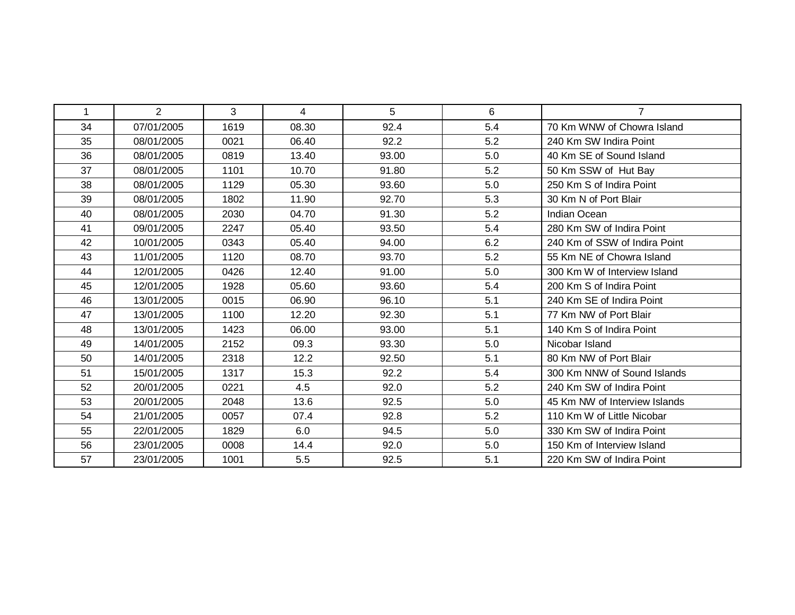| $\mathbf 1$ | $\overline{2}$ | 3    | 4     | 5 <sup>5</sup> | 6   | $\overline{7}$                |
|-------------|----------------|------|-------|----------------|-----|-------------------------------|
| 34          | 07/01/2005     | 1619 | 08.30 | 92.4           | 5.4 | 70 Km WNW of Chowra Island    |
| 35          | 08/01/2005     | 0021 | 06.40 | 92.2           | 5.2 | 240 Km SW Indira Point        |
| 36          | 08/01/2005     | 0819 | 13.40 | 93.00          | 5.0 | 40 Km SE of Sound Island      |
| 37          | 08/01/2005     | 1101 | 10.70 | 91.80          | 5.2 | 50 Km SSW of Hut Bay          |
| 38          | 08/01/2005     | 1129 | 05.30 | 93.60          | 5.0 | 250 Km S of Indira Point      |
| 39          | 08/01/2005     | 1802 | 11.90 | 92.70          | 5.3 | 30 Km N of Port Blair         |
| 40          | 08/01/2005     | 2030 | 04.70 | 91.30          | 5.2 | Indian Ocean                  |
| 41          | 09/01/2005     | 2247 | 05.40 | 93.50          | 5.4 | 280 Km SW of Indira Point     |
| 42          | 10/01/2005     | 0343 | 05.40 | 94.00          | 6.2 | 240 Km of SSW of Indira Point |
| 43          | 11/01/2005     | 1120 | 08.70 | 93.70          | 5.2 | 55 Km NE of Chowra Island     |
| 44          | 12/01/2005     | 0426 | 12.40 | 91.00          | 5.0 | 300 Km W of Interview Island  |
| 45          | 12/01/2005     | 1928 | 05.60 | 93.60          | 5.4 | 200 Km S of Indira Point      |
| 46          | 13/01/2005     | 0015 | 06.90 | 96.10          | 5.1 | 240 Km SE of Indira Point     |
| 47          | 13/01/2005     | 1100 | 12.20 | 92.30          | 5.1 | 77 Km NW of Port Blair        |
| 48          | 13/01/2005     | 1423 | 06.00 | 93.00          | 5.1 | 140 Km S of Indira Point      |
| 49          | 14/01/2005     | 2152 | 09.3  | 93.30          | 5.0 | Nicobar Island                |
| 50          | 14/01/2005     | 2318 | 12.2  | 92.50          | 5.1 | 80 Km NW of Port Blair        |
| 51          | 15/01/2005     | 1317 | 15.3  | 92.2           | 5.4 | 300 Km NNW of Sound Islands   |
| 52          | 20/01/2005     | 0221 | 4.5   | 92.0           | 5.2 | 240 Km SW of Indira Point     |
| 53          | 20/01/2005     | 2048 | 13.6  | 92.5           | 5.0 | 45 Km NW of Interview Islands |
| 54          | 21/01/2005     | 0057 | 07.4  | 92.8           | 5.2 | 110 Km W of Little Nicobar    |
| 55          | 22/01/2005     | 1829 | 6.0   | 94.5           | 5.0 | 330 Km SW of Indira Point     |
| 56          | 23/01/2005     | 0008 | 14.4  | 92.0           | 5.0 | 150 Km of Interview Island    |
| 57          | 23/01/2005     | 1001 | 5.5   | 92.5           | 5.1 | 220 Km SW of Indira Point     |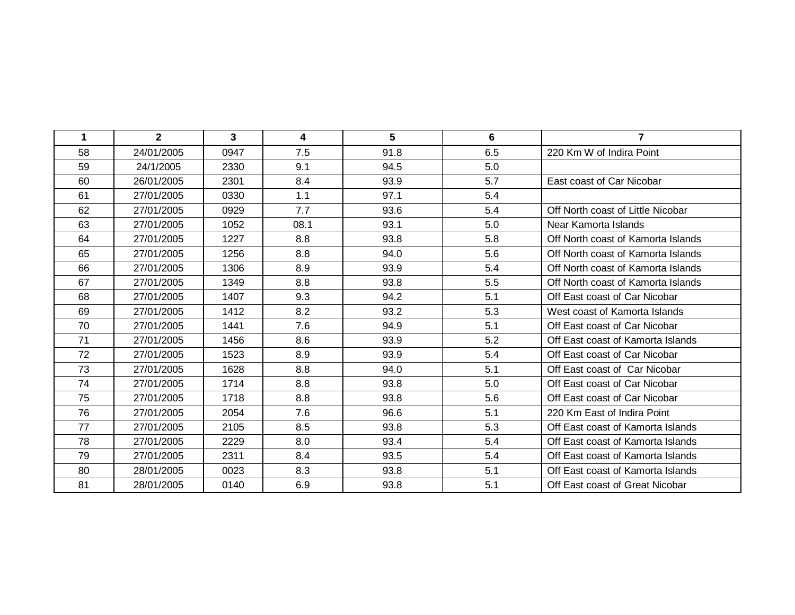| 1  | $\mathbf{2}$ | 3    | 4    | 5    | 6   | $\overline{7}$                     |
|----|--------------|------|------|------|-----|------------------------------------|
| 58 | 24/01/2005   | 0947 | 7.5  | 91.8 | 6.5 | 220 Km W of Indira Point           |
| 59 | 24/1/2005    | 2330 | 9.1  | 94.5 | 5.0 |                                    |
| 60 | 26/01/2005   | 2301 | 8.4  | 93.9 | 5.7 | East coast of Car Nicobar          |
| 61 | 27/01/2005   | 0330 | 1.1  | 97.1 | 5.4 |                                    |
| 62 | 27/01/2005   | 0929 | 7.7  | 93.6 | 5.4 | Off North coast of Little Nicobar  |
| 63 | 27/01/2005   | 1052 | 08.1 | 93.1 | 5.0 | Near Kamorta Islands               |
| 64 | 27/01/2005   | 1227 | 8.8  | 93.8 | 5.8 | Off North coast of Kamorta Islands |
| 65 | 27/01/2005   | 1256 | 8.8  | 94.0 | 5.6 | Off North coast of Kamorta Islands |
| 66 | 27/01/2005   | 1306 | 8.9  | 93.9 | 5.4 | Off North coast of Kamorta Islands |
| 67 | 27/01/2005   | 1349 | 8.8  | 93.8 | 5.5 | Off North coast of Kamorta Islands |
| 68 | 27/01/2005   | 1407 | 9.3  | 94.2 | 5.1 | Off East coast of Car Nicobar      |
| 69 | 27/01/2005   | 1412 | 8.2  | 93.2 | 5.3 | West coast of Kamorta Islands      |
| 70 | 27/01/2005   | 1441 | 7.6  | 94.9 | 5.1 | Off East coast of Car Nicobar      |
| 71 | 27/01/2005   | 1456 | 8.6  | 93.9 | 5.2 | Off East coast of Kamorta Islands  |
| 72 | 27/01/2005   | 1523 | 8.9  | 93.9 | 5.4 | Off East coast of Car Nicobar      |
| 73 | 27/01/2005   | 1628 | 8.8  | 94.0 | 5.1 | Off East coast of Car Nicobar      |
| 74 | 27/01/2005   | 1714 | 8.8  | 93.8 | 5.0 | Off East coast of Car Nicobar      |
| 75 | 27/01/2005   | 1718 | 8.8  | 93.8 | 5.6 | Off East coast of Car Nicobar      |
| 76 | 27/01/2005   | 2054 | 7.6  | 96.6 | 5.1 | 220 Km East of Indira Point        |
| 77 | 27/01/2005   | 2105 | 8.5  | 93.8 | 5.3 | Off East coast of Kamorta Islands  |
| 78 | 27/01/2005   | 2229 | 8.0  | 93.4 | 5.4 | Off East coast of Kamorta Islands  |
| 79 | 27/01/2005   | 2311 | 8.4  | 93.5 | 5.4 | Off East coast of Kamorta Islands  |
| 80 | 28/01/2005   | 0023 | 8.3  | 93.8 | 5.1 | Off East coast of Kamorta Islands  |
| 81 | 28/01/2005   | 0140 | 6.9  | 93.8 | 5.1 | Off East coast of Great Nicobar    |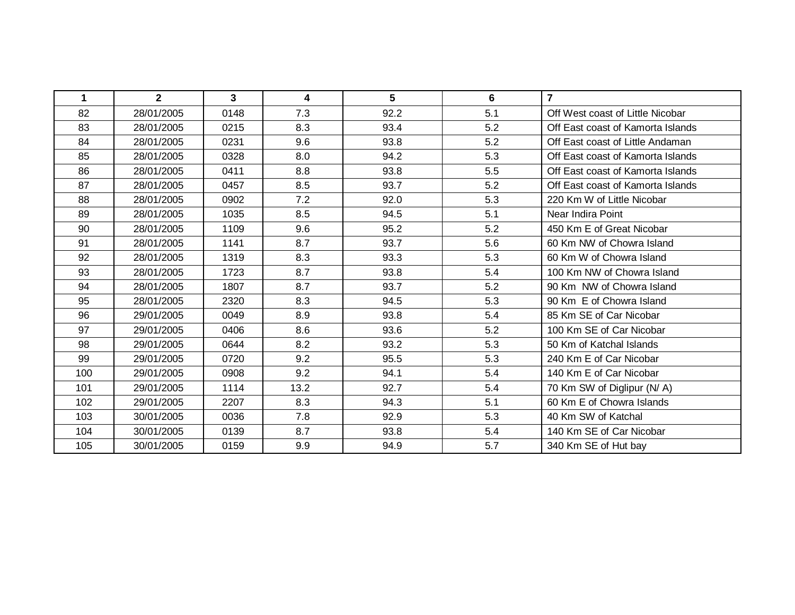| $\mathbf 1$ | $\mathbf{2}$ | 3    | 4    | 5    | 6   | $\overline{7}$                    |
|-------------|--------------|------|------|------|-----|-----------------------------------|
| 82          | 28/01/2005   | 0148 | 7.3  | 92.2 | 5.1 | Off West coast of Little Nicobar  |
| 83          | 28/01/2005   | 0215 | 8.3  | 93.4 | 5.2 | Off East coast of Kamorta Islands |
| 84          | 28/01/2005   | 0231 | 9.6  | 93.8 | 5.2 | Off East coast of Little Andaman  |
| 85          | 28/01/2005   | 0328 | 8.0  | 94.2 | 5.3 | Off East coast of Kamorta Islands |
| 86          | 28/01/2005   | 0411 | 8.8  | 93.8 | 5.5 | Off East coast of Kamorta Islands |
| 87          | 28/01/2005   | 0457 | 8.5  | 93.7 | 5.2 | Off East coast of Kamorta Islands |
| 88          | 28/01/2005   | 0902 | 7.2  | 92.0 | 5.3 | 220 Km W of Little Nicobar        |
| 89          | 28/01/2005   | 1035 | 8.5  | 94.5 | 5.1 | Near Indira Point                 |
| 90          | 28/01/2005   | 1109 | 9.6  | 95.2 | 5.2 | 450 Km E of Great Nicobar         |
| 91          | 28/01/2005   | 1141 | 8.7  | 93.7 | 5.6 | 60 Km NW of Chowra Island         |
| 92          | 28/01/2005   | 1319 | 8.3  | 93.3 | 5.3 | 60 Km W of Chowra Island          |
| 93          | 28/01/2005   | 1723 | 8.7  | 93.8 | 5.4 | 100 Km NW of Chowra Island        |
| 94          | 28/01/2005   | 1807 | 8.7  | 93.7 | 5.2 | 90 Km NW of Chowra Island         |
| 95          | 28/01/2005   | 2320 | 8.3  | 94.5 | 5.3 | 90 Km E of Chowra Island          |
| 96          | 29/01/2005   | 0049 | 8.9  | 93.8 | 5.4 | 85 Km SE of Car Nicobar           |
| 97          | 29/01/2005   | 0406 | 8.6  | 93.6 | 5.2 | 100 Km SE of Car Nicobar          |
| 98          | 29/01/2005   | 0644 | 8.2  | 93.2 | 5.3 | 50 Km of Katchal Islands          |
| 99          | 29/01/2005   | 0720 | 9.2  | 95.5 | 5.3 | 240 Km E of Car Nicobar           |
| 100         | 29/01/2005   | 0908 | 9.2  | 94.1 | 5.4 | 140 Km E of Car Nicobar           |
| 101         | 29/01/2005   | 1114 | 13.2 | 92.7 | 5.4 | 70 Km SW of Diglipur (N/A)        |
| 102         | 29/01/2005   | 2207 | 8.3  | 94.3 | 5.1 | 60 Km E of Chowra Islands         |
| 103         | 30/01/2005   | 0036 | 7.8  | 92.9 | 5.3 | 40 Km SW of Katchal               |
| 104         | 30/01/2005   | 0139 | 8.7  | 93.8 | 5.4 | 140 Km SE of Car Nicobar          |
| 105         | 30/01/2005   | 0159 | 9.9  | 94.9 | 5.7 | 340 Km SE of Hut bay              |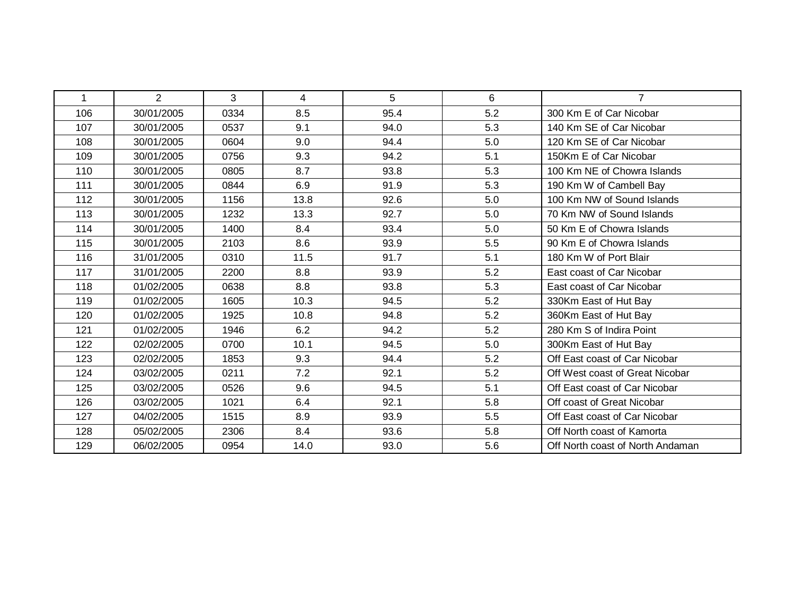| 1   | 2          | 3    | $\overline{4}$ | 5    | 6   | $\overline{7}$                   |
|-----|------------|------|----------------|------|-----|----------------------------------|
| 106 | 30/01/2005 | 0334 | 8.5            | 95.4 | 5.2 | 300 Km E of Car Nicobar          |
| 107 | 30/01/2005 | 0537 | 9.1            | 94.0 | 5.3 | 140 Km SE of Car Nicobar         |
| 108 | 30/01/2005 | 0604 | 9.0            | 94.4 | 5.0 | 120 Km SE of Car Nicobar         |
| 109 | 30/01/2005 | 0756 | 9.3            | 94.2 | 5.1 | 150Km E of Car Nicobar           |
| 110 | 30/01/2005 | 0805 | 8.7            | 93.8 | 5.3 | 100 Km NE of Chowra Islands      |
| 111 | 30/01/2005 | 0844 | 6.9            | 91.9 | 5.3 | 190 Km W of Cambell Bay          |
| 112 | 30/01/2005 | 1156 | 13.8           | 92.6 | 5.0 | 100 Km NW of Sound Islands       |
| 113 | 30/01/2005 | 1232 | 13.3           | 92.7 | 5.0 | 70 Km NW of Sound Islands        |
| 114 | 30/01/2005 | 1400 | 8.4            | 93.4 | 5.0 | 50 Km E of Chowra Islands        |
| 115 | 30/01/2005 | 2103 | 8.6            | 93.9 | 5.5 | 90 Km E of Chowra Islands        |
| 116 | 31/01/2005 | 0310 | 11.5           | 91.7 | 5.1 | 180 Km W of Port Blair           |
| 117 | 31/01/2005 | 2200 | 8.8            | 93.9 | 5.2 | East coast of Car Nicobar        |
| 118 | 01/02/2005 | 0638 | 8.8            | 93.8 | 5.3 | East coast of Car Nicobar        |
| 119 | 01/02/2005 | 1605 | 10.3           | 94.5 | 5.2 | 330Km East of Hut Bay            |
| 120 | 01/02/2005 | 1925 | 10.8           | 94.8 | 5.2 | 360Km East of Hut Bay            |
| 121 | 01/02/2005 | 1946 | 6.2            | 94.2 | 5.2 | 280 Km S of Indira Point         |
| 122 | 02/02/2005 | 0700 | 10.1           | 94.5 | 5.0 | 300Km East of Hut Bay            |
| 123 | 02/02/2005 | 1853 | 9.3            | 94.4 | 5.2 | Off East coast of Car Nicobar    |
| 124 | 03/02/2005 | 0211 | 7.2            | 92.1 | 5.2 | Off West coast of Great Nicobar  |
| 125 | 03/02/2005 | 0526 | 9.6            | 94.5 | 5.1 | Off East coast of Car Nicobar    |
| 126 | 03/02/2005 | 1021 | 6.4            | 92.1 | 5.8 | Off coast of Great Nicobar       |
| 127 | 04/02/2005 | 1515 | 8.9            | 93.9 | 5.5 | Off East coast of Car Nicobar    |
| 128 | 05/02/2005 | 2306 | 8.4            | 93.6 | 5.8 | Off North coast of Kamorta       |
| 129 | 06/02/2005 | 0954 | 14.0           | 93.0 | 5.6 | Off North coast of North Andaman |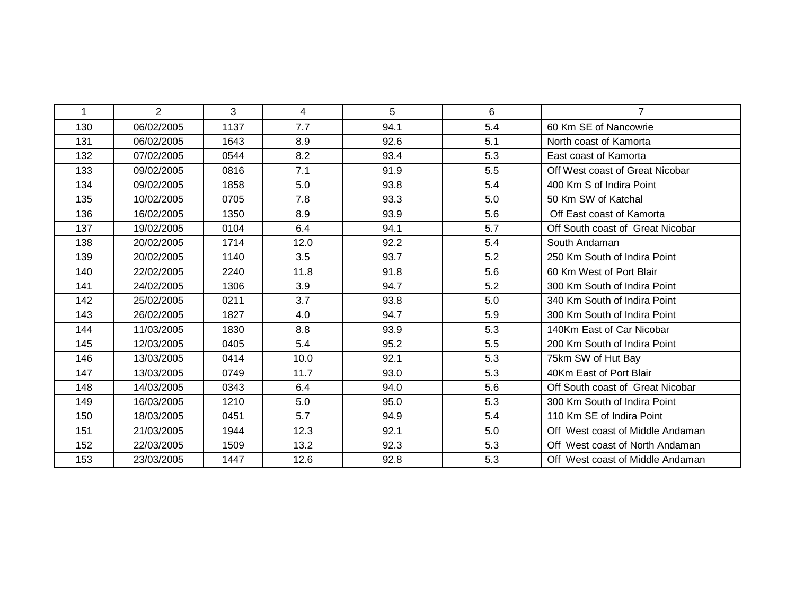| 1   | $\overline{2}$ | 3    | 4    | 5    | 6   | $\overline{7}$                   |
|-----|----------------|------|------|------|-----|----------------------------------|
| 130 | 06/02/2005     | 1137 | 7.7  | 94.1 | 5.4 | 60 Km SE of Nancowrie            |
| 131 | 06/02/2005     | 1643 | 8.9  | 92.6 | 5.1 | North coast of Kamorta           |
| 132 | 07/02/2005     | 0544 | 8.2  | 93.4 | 5.3 | East coast of Kamorta            |
| 133 | 09/02/2005     | 0816 | 7.1  | 91.9 | 5.5 | Off West coast of Great Nicobar  |
| 134 | 09/02/2005     | 1858 | 5.0  | 93.8 | 5.4 | 400 Km S of Indira Point         |
| 135 | 10/02/2005     | 0705 | 7.8  | 93.3 | 5.0 | 50 Km SW of Katchal              |
| 136 | 16/02/2005     | 1350 | 8.9  | 93.9 | 5.6 | Off East coast of Kamorta        |
| 137 | 19/02/2005     | 0104 | 6.4  | 94.1 | 5.7 | Off South coast of Great Nicobar |
| 138 | 20/02/2005     | 1714 | 12.0 | 92.2 | 5.4 | South Andaman                    |
| 139 | 20/02/2005     | 1140 | 3.5  | 93.7 | 5.2 | 250 Km South of Indira Point     |
| 140 | 22/02/2005     | 2240 | 11.8 | 91.8 | 5.6 | 60 Km West of Port Blair         |
| 141 | 24/02/2005     | 1306 | 3.9  | 94.7 | 5.2 | 300 Km South of Indira Point     |
| 142 | 25/02/2005     | 0211 | 3.7  | 93.8 | 5.0 | 340 Km South of Indira Point     |
| 143 | 26/02/2005     | 1827 | 4.0  | 94.7 | 5.9 | 300 Km South of Indira Point     |
| 144 | 11/03/2005     | 1830 | 8.8  | 93.9 | 5.3 | 140Km East of Car Nicobar        |
| 145 | 12/03/2005     | 0405 | 5.4  | 95.2 | 5.5 | 200 Km South of Indira Point     |
| 146 | 13/03/2005     | 0414 | 10.0 | 92.1 | 5.3 | 75km SW of Hut Bay               |
| 147 | 13/03/2005     | 0749 | 11.7 | 93.0 | 5.3 | 40Km East of Port Blair          |
| 148 | 14/03/2005     | 0343 | 6.4  | 94.0 | 5.6 | Off South coast of Great Nicobar |
| 149 | 16/03/2005     | 1210 | 5.0  | 95.0 | 5.3 | 300 Km South of Indira Point     |
| 150 | 18/03/2005     | 0451 | 5.7  | 94.9 | 5.4 | 110 Km SE of Indira Point        |
| 151 | 21/03/2005     | 1944 | 12.3 | 92.1 | 5.0 | Off West coast of Middle Andaman |
| 152 | 22/03/2005     | 1509 | 13.2 | 92.3 | 5.3 | Off West coast of North Andaman  |
| 153 | 23/03/2005     | 1447 | 12.6 | 92.8 | 5.3 | Off West coast of Middle Andaman |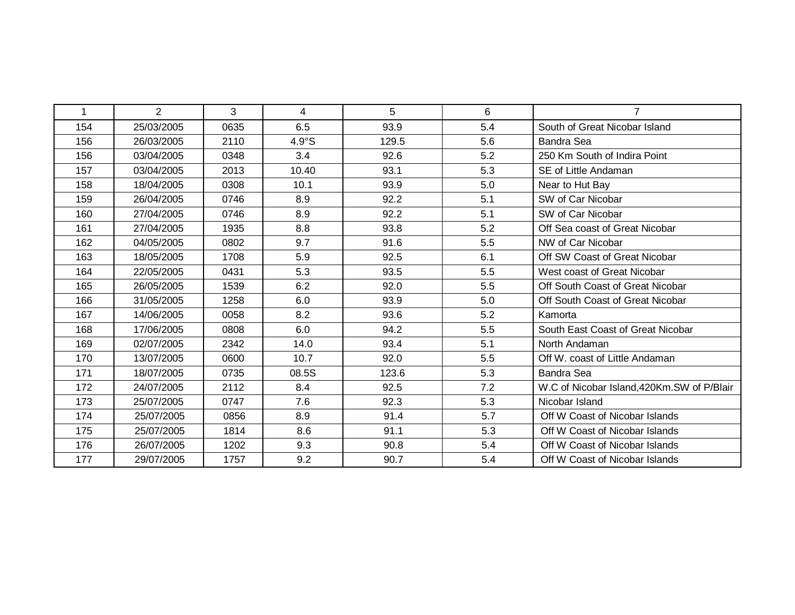| 1   | $\overline{2}$ | 3    | 4     | 5     | 6   | $\overline{7}$                              |
|-----|----------------|------|-------|-------|-----|---------------------------------------------|
| 154 | 25/03/2005     | 0635 | 6.5   | 93.9  | 5.4 | South of Great Nicobar Island               |
| 156 | 26/03/2005     | 2110 | 4.9°S | 129.5 | 5.6 | <b>Bandra Sea</b>                           |
| 156 | 03/04/2005     | 0348 | 3.4   | 92.6  | 5.2 | 250 Km South of Indira Point                |
| 157 | 03/04/2005     | 2013 | 10.40 | 93.1  | 5.3 | SE of Little Andaman                        |
| 158 | 18/04/2005     | 0308 | 10.1  | 93.9  | 5.0 | Near to Hut Bay                             |
| 159 | 26/04/2005     | 0746 | 8.9   | 92.2  | 5.1 | SW of Car Nicobar                           |
| 160 | 27/04/2005     | 0746 | 8.9   | 92.2  | 5.1 | SW of Car Nicobar                           |
| 161 | 27/04/2005     | 1935 | 8.8   | 93.8  | 5.2 | Off Sea coast of Great Nicobar              |
| 162 | 04/05/2005     | 0802 | 9.7   | 91.6  | 5.5 | NW of Car Nicobar                           |
| 163 | 18/05/2005     | 1708 | 5.9   | 92.5  | 6.1 | Off SW Coast of Great Nicobar               |
| 164 | 22/05/2005     | 0431 | 5.3   | 93.5  | 5.5 | West coast of Great Nicobar                 |
| 165 | 26/05/2005     | 1539 | 6.2   | 92.0  | 5.5 | Off South Coast of Great Nicobar            |
| 166 | 31/05/2005     | 1258 | 6.0   | 93.9  | 5.0 | Off South Coast of Great Nicobar            |
| 167 | 14/06/2005     | 0058 | 8.2   | 93.6  | 5.2 | Kamorta                                     |
| 168 | 17/06/2005     | 0808 | 6.0   | 94.2  | 5.5 | South East Coast of Great Nicobar           |
| 169 | 02/07/2005     | 2342 | 14.0  | 93.4  | 5.1 | North Andaman                               |
| 170 | 13/07/2005     | 0600 | 10.7  | 92.0  | 5.5 | Off W. coast of Little Andaman              |
| 171 | 18/07/2005     | 0735 | 08.5S | 123.6 | 5.3 | <b>Bandra Sea</b>                           |
| 172 | 24/07/2005     | 2112 | 8.4   | 92.5  | 7.2 | W.C of Nicobar Island, 420Km. SW of P/Blair |
| 173 | 25/07/2005     | 0747 | 7.6   | 92.3  | 5.3 | Nicobar Island                              |
| 174 | 25/07/2005     | 0856 | 8.9   | 91.4  | 5.7 | Off W Coast of Nicobar Islands              |
| 175 | 25/07/2005     | 1814 | 8.6   | 91.1  | 5.3 | Off W Coast of Nicobar Islands              |
| 176 | 26/07/2005     | 1202 | 9.3   | 90.8  | 5.4 | Off W Coast of Nicobar Islands              |
| 177 | 29/07/2005     | 1757 | 9.2   | 90.7  | 5.4 | Off W Coast of Nicobar Islands              |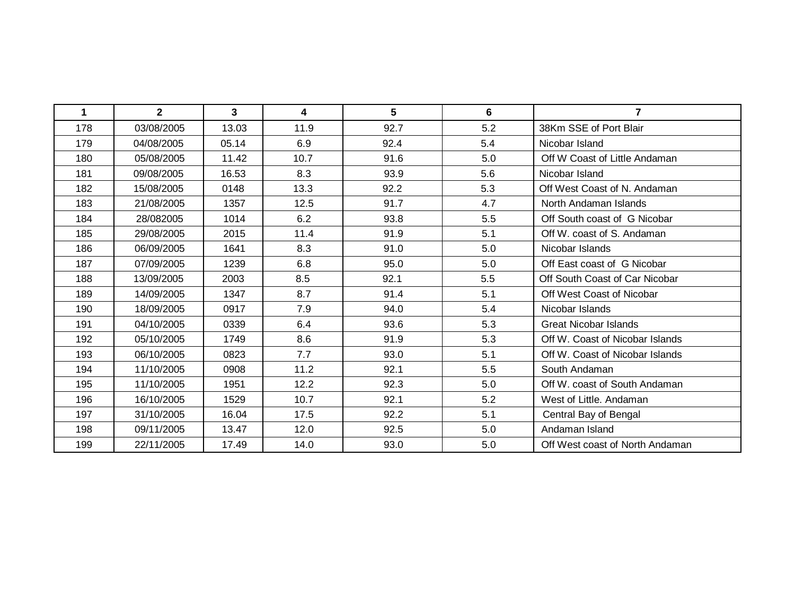| 1   | $\mathbf{2}$ | 3     | 4    | 5    | 6   | $\overline{7}$                  |
|-----|--------------|-------|------|------|-----|---------------------------------|
| 178 | 03/08/2005   | 13.03 | 11.9 | 92.7 | 5.2 | 38Km SSE of Port Blair          |
| 179 | 04/08/2005   | 05.14 | 6.9  | 92.4 | 5.4 | Nicobar Island                  |
| 180 | 05/08/2005   | 11.42 | 10.7 | 91.6 | 5.0 | Off W Coast of Little Andaman   |
| 181 | 09/08/2005   | 16.53 | 8.3  | 93.9 | 5.6 | Nicobar Island                  |
| 182 | 15/08/2005   | 0148  | 13.3 | 92.2 | 5.3 | Off West Coast of N. Andaman    |
| 183 | 21/08/2005   | 1357  | 12.5 | 91.7 | 4.7 | North Andaman Islands           |
| 184 | 28/082005    | 1014  | 6.2  | 93.8 | 5.5 | Off South coast of G Nicobar    |
| 185 | 29/08/2005   | 2015  | 11.4 | 91.9 | 5.1 | Off W. coast of S. Andaman      |
| 186 | 06/09/2005   | 1641  | 8.3  | 91.0 | 5.0 | Nicobar Islands                 |
| 187 | 07/09/2005   | 1239  | 6.8  | 95.0 | 5.0 | Off East coast of G Nicobar     |
| 188 | 13/09/2005   | 2003  | 8.5  | 92.1 | 5.5 | Off South Coast of Car Nicobar  |
| 189 | 14/09/2005   | 1347  | 8.7  | 91.4 | 5.1 | Off West Coast of Nicobar       |
| 190 | 18/09/2005   | 0917  | 7.9  | 94.0 | 5.4 | Nicobar Islands                 |
| 191 | 04/10/2005   | 0339  | 6.4  | 93.6 | 5.3 | <b>Great Nicobar Islands</b>    |
| 192 | 05/10/2005   | 1749  | 8.6  | 91.9 | 5.3 | Off W. Coast of Nicobar Islands |
| 193 | 06/10/2005   | 0823  | 7.7  | 93.0 | 5.1 | Off W. Coast of Nicobar Islands |
| 194 | 11/10/2005   | 0908  | 11.2 | 92.1 | 5.5 | South Andaman                   |
| 195 | 11/10/2005   | 1951  | 12.2 | 92.3 | 5.0 | Off W. coast of South Andaman   |
| 196 | 16/10/2005   | 1529  | 10.7 | 92.1 | 5.2 | West of Little. Andaman         |
| 197 | 31/10/2005   | 16.04 | 17.5 | 92.2 | 5.1 | Central Bay of Bengal           |
| 198 | 09/11/2005   | 13.47 | 12.0 | 92.5 | 5.0 | Andaman Island                  |
| 199 | 22/11/2005   | 17.49 | 14.0 | 93.0 | 5.0 | Off West coast of North Andaman |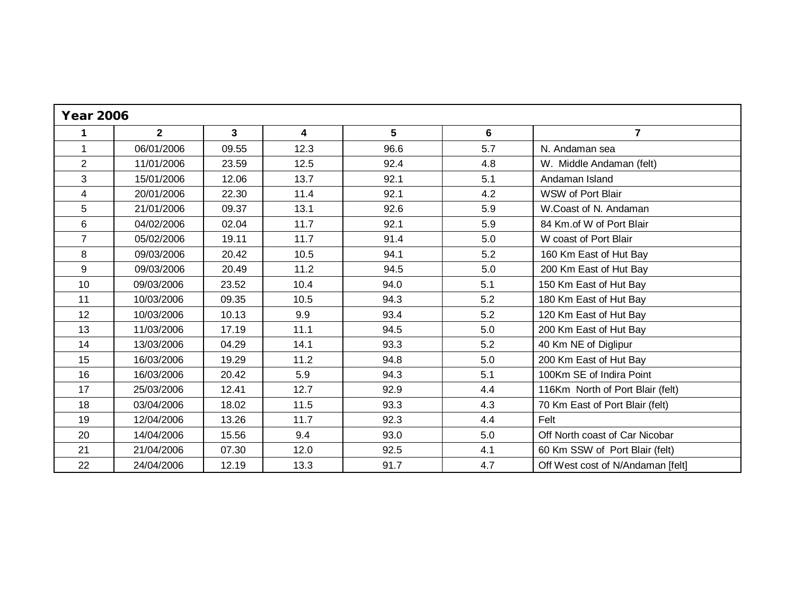| <b>Year 2006</b> |                |       |      |      |     |                                   |  |
|------------------|----------------|-------|------|------|-----|-----------------------------------|--|
| 1                | $\overline{2}$ | 3     | 4    | 5    | 6   | $\overline{7}$                    |  |
| $\mathbf{1}$     | 06/01/2006     | 09.55 | 12.3 | 96.6 | 5.7 | N. Andaman sea                    |  |
| $\overline{2}$   | 11/01/2006     | 23.59 | 12.5 | 92.4 | 4.8 | W. Middle Andaman (felt)          |  |
| 3                | 15/01/2006     | 12.06 | 13.7 | 92.1 | 5.1 | Andaman Island                    |  |
| 4                | 20/01/2006     | 22.30 | 11.4 | 92.1 | 4.2 | WSW of Port Blair                 |  |
| 5                | 21/01/2006     | 09.37 | 13.1 | 92.6 | 5.9 | W.Coast of N. Andaman             |  |
| 6                | 04/02/2006     | 02.04 | 11.7 | 92.1 | 5.9 | 84 Km.of W of Port Blair          |  |
| $\overline{7}$   | 05/02/2006     | 19.11 | 11.7 | 91.4 | 5.0 | W coast of Port Blair             |  |
| 8                | 09/03/2006     | 20.42 | 10.5 | 94.1 | 5.2 | 160 Km East of Hut Bay            |  |
| 9                | 09/03/2006     | 20.49 | 11.2 | 94.5 | 5.0 | 200 Km East of Hut Bay            |  |
| 10               | 09/03/2006     | 23.52 | 10.4 | 94.0 | 5.1 | 150 Km East of Hut Bay            |  |
| 11               | 10/03/2006     | 09.35 | 10.5 | 94.3 | 5.2 | 180 Km East of Hut Bay            |  |
| 12               | 10/03/2006     | 10.13 | 9.9  | 93.4 | 5.2 | 120 Km East of Hut Bay            |  |
| 13               | 11/03/2006     | 17.19 | 11.1 | 94.5 | 5.0 | 200 Km East of Hut Bay            |  |
| 14               | 13/03/2006     | 04.29 | 14.1 | 93.3 | 5.2 | 40 Km NE of Diglipur              |  |
| 15               | 16/03/2006     | 19.29 | 11.2 | 94.8 | 5.0 | 200 Km East of Hut Bay            |  |
| 16               | 16/03/2006     | 20.42 | 5.9  | 94.3 | 5.1 | 100Km SE of Indira Point          |  |
| 17               | 25/03/2006     | 12.41 | 12.7 | 92.9 | 4.4 | 116Km North of Port Blair (felt)  |  |
| 18               | 03/04/2006     | 18.02 | 11.5 | 93.3 | 4.3 | 70 Km East of Port Blair (felt)   |  |
| 19               | 12/04/2006     | 13.26 | 11.7 | 92.3 | 4.4 | Felt                              |  |
| 20               | 14/04/2006     | 15.56 | 9.4  | 93.0 | 5.0 | Off North coast of Car Nicobar    |  |
| 21               | 21/04/2006     | 07.30 | 12.0 | 92.5 | 4.1 | 60 Km SSW of Port Blair (felt)    |  |
| 22               | 24/04/2006     | 12.19 | 13.3 | 91.7 | 4.7 | Off West cost of N/Andaman [felt] |  |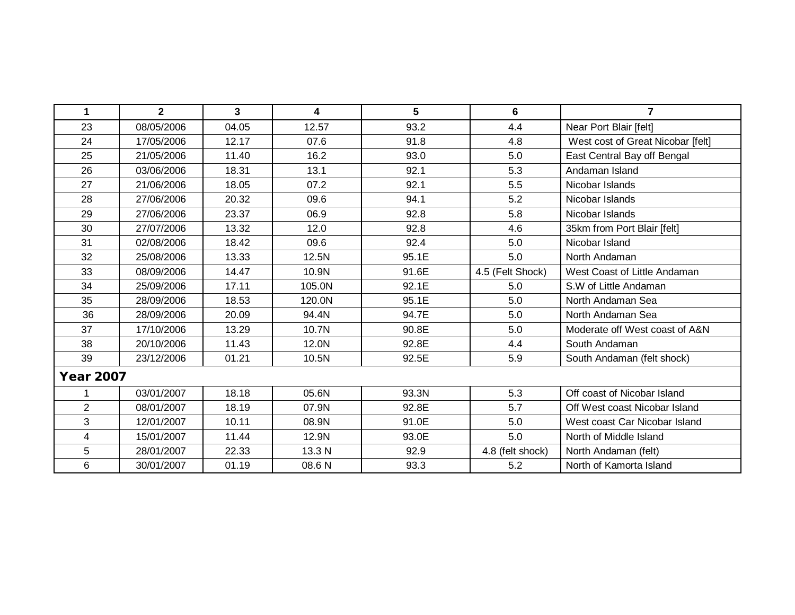| 1                | $\overline{2}$ | 3     | 4      | 5     | 6                | $\overline{7}$                    |  |  |
|------------------|----------------|-------|--------|-------|------------------|-----------------------------------|--|--|
| 23               | 08/05/2006     | 04.05 | 12.57  | 93.2  | 4.4              | Near Port Blair [felt]            |  |  |
| 24               | 17/05/2006     | 12.17 | 07.6   | 91.8  | 4.8              | West cost of Great Nicobar [felt] |  |  |
| 25               | 21/05/2006     | 11.40 | 16.2   | 93.0  | 5.0              | East Central Bay off Bengal       |  |  |
| 26               | 03/06/2006     | 18.31 | 13.1   | 92.1  | 5.3              | Andaman Island                    |  |  |
| 27               | 21/06/2006     | 18.05 | 07.2   | 92.1  | 5.5              | Nicobar Islands                   |  |  |
| 28               | 27/06/2006     | 20.32 | 09.6   | 94.1  | 5.2              | Nicobar Islands                   |  |  |
| 29               | 27/06/2006     | 23.37 | 06.9   | 92.8  | 5.8              | Nicobar Islands                   |  |  |
| 30               | 27/07/2006     | 13.32 | 12.0   | 92.8  | 4.6              | 35km from Port Blair [felt]       |  |  |
| 31               | 02/08/2006     | 18.42 | 09.6   | 92.4  | 5.0              | Nicobar Island                    |  |  |
| 32               | 25/08/2006     | 13.33 | 12.5N  | 95.1E | 5.0              | North Andaman                     |  |  |
| 33               | 08/09/2006     | 14.47 | 10.9N  | 91.6E | 4.5 (Felt Shock) | West Coast of Little Andaman      |  |  |
| 34               | 25/09/2006     | 17.11 | 105.0N | 92.1E | 5.0              | S.W of Little Andaman             |  |  |
| 35               | 28/09/2006     | 18.53 | 120.0N | 95.1E | 5.0              | North Andaman Sea                 |  |  |
| 36               | 28/09/2006     | 20.09 | 94.4N  | 94.7E | 5.0              | North Andaman Sea                 |  |  |
| 37               | 17/10/2006     | 13.29 | 10.7N  | 90.8E | 5.0              | Moderate off West coast of A&N    |  |  |
| 38               | 20/10/2006     | 11.43 | 12.0N  | 92.8E | 4.4              | South Andaman                     |  |  |
| 39               | 23/12/2006     | 01.21 | 10.5N  | 92.5E | 5.9              | South Andaman (felt shock)        |  |  |
| <b>Year 2007</b> |                |       |        |       |                  |                                   |  |  |
| 1                | 03/01/2007     | 18.18 | 05.6N  | 93.3N | 5.3              | Off coast of Nicobar Island       |  |  |
| $\overline{2}$   | 08/01/2007     | 18.19 | 07.9N  | 92.8E | 5.7              | Off West coast Nicobar Island     |  |  |
| 3                | 12/01/2007     | 10.11 | 08.9N  | 91.0E | 5.0              | West coast Car Nicobar Island     |  |  |
| 4                | 15/01/2007     | 11.44 | 12.9N  | 93.0E | 5.0              | North of Middle Island            |  |  |
| 5                | 28/01/2007     | 22.33 | 13.3 N | 92.9  | 4.8 (felt shock) | North Andaman (felt)              |  |  |
| 6                | 30/01/2007     | 01.19 | 08.6 N | 93.3  | 5.2              | North of Kamorta Island           |  |  |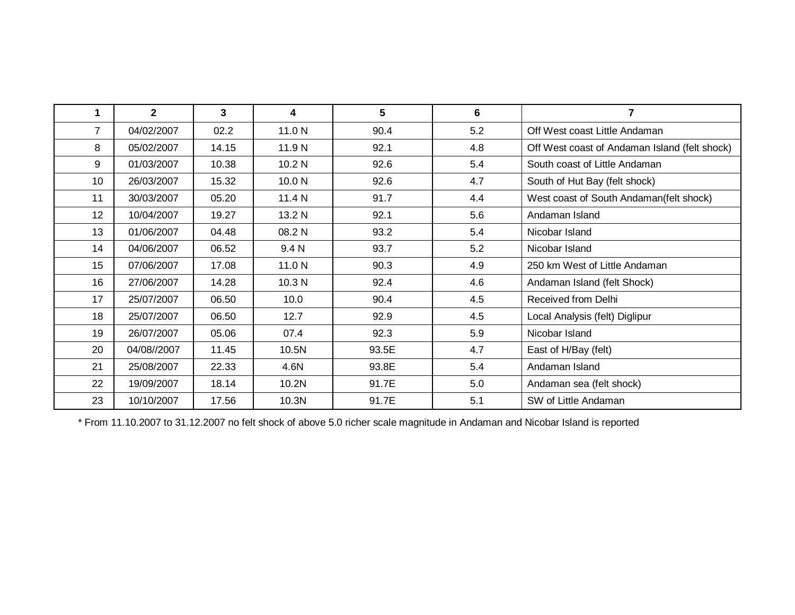| 1              | $\mathbf{2}$ | 3     | 4                 | 5     | 6   |                                               |
|----------------|--------------|-------|-------------------|-------|-----|-----------------------------------------------|
| $\overline{7}$ | 04/02/2007   | 02.2  | 11.0 N            | 90.4  | 5.2 | Off West coast Little Andaman                 |
| 8              | 05/02/2007   | 14.15 | 11.9 N            | 92.1  | 4.8 | Off West coast of Andaman Island (felt shock) |
| 9              | 01/03/2007   | 10.38 | 10.2 <sub>N</sub> | 92.6  | 5.4 | South coast of Little Andaman                 |
| 10             | 26/03/2007   | 15.32 | 10.0 <sub>N</sub> | 92.6  | 4.7 | South of Hut Bay (felt shock)                 |
| 11             | 30/03/2007   | 05.20 | 11.4 N            | 91.7  | 4.4 | West coast of South Andaman(felt shock)       |
| 12             | 10/04/2007   | 19.27 | 13.2 N            | 92.1  | 5.6 | Andaman Island                                |
| 13             | 01/06/2007   | 04.48 | 08.2 N            | 93.2  | 5.4 | Nicobar Island                                |
| 14             | 04/06/2007   | 06.52 | 9.4 N             | 93.7  | 5.2 | Nicobar Island                                |
| 15             | 07/06/2007   | 17.08 | 11.0 N            | 90.3  | 4.9 | 250 km West of Little Andaman                 |
| 16             | 27/06/2007   | 14.28 | 10.3 N            | 92.4  | 4.6 | Andaman Island (felt Shock)                   |
| 17             | 25/07/2007   | 06.50 | 10.0              | 90.4  | 4.5 | Received from Delhi                           |
| 18             | 25/07/2007   | 06.50 | 12.7              | 92.9  | 4.5 | Local Analysis (felt) Diglipur                |
| 19             | 26/07/2007   | 05.06 | 07.4              | 92.3  | 5.9 | Nicobar Island                                |
| 20             | 04/08//2007  | 11.45 | 10.5N             | 93.5E | 4.7 | East of H/Bay (felt)                          |
| 21             | 25/08/2007   | 22.33 | 4.6N              | 93.8E | 5.4 | Andaman Island                                |
| 22             | 19/09/2007   | 18.14 | 10.2N             | 91.7E | 5.0 | Andaman sea (felt shock)                      |
| 23             | 10/10/2007   | 17.56 | 10.3N             | 91.7E | 5.1 | SW of Little Andaman                          |

\* From 11.10.2007 to 31.12.2007 no felt shock of above 5.0 richer scale magnitude in Andaman and Nicobar Island is reported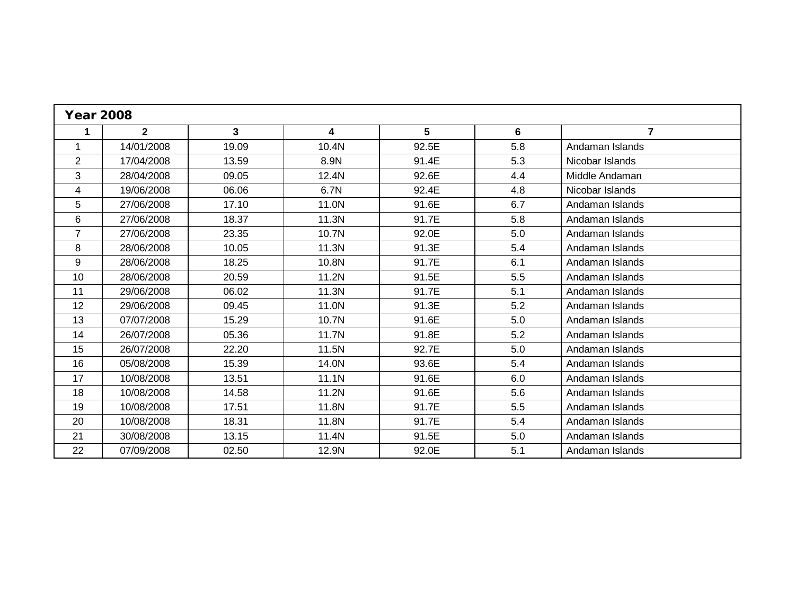| <b>Year 2008</b> |              |              |       |       |     |                 |  |
|------------------|--------------|--------------|-------|-------|-----|-----------------|--|
| 1                | $\mathbf{2}$ | $\mathbf{3}$ | 4     | 5     | 6   | $\mathbf{7}$    |  |
| 1                | 14/01/2008   | 19.09        | 10.4N | 92.5E | 5.8 | Andaman Islands |  |
| $\overline{2}$   | 17/04/2008   | 13.59        | 8.9N  | 91.4E | 5.3 | Nicobar Islands |  |
| 3                | 28/04/2008   | 09.05        | 12.4N | 92.6E | 4.4 | Middle Andaman  |  |
| 4                | 19/06/2008   | 06.06        | 6.7N  | 92.4E | 4.8 | Nicobar Islands |  |
| 5                | 27/06/2008   | 17.10        | 11.0N | 91.6E | 6.7 | Andaman Islands |  |
| 6                | 27/06/2008   | 18.37        | 11.3N | 91.7E | 5.8 | Andaman Islands |  |
| $\overline{7}$   | 27/06/2008   | 23.35        | 10.7N | 92.0E | 5.0 | Andaman Islands |  |
| 8                | 28/06/2008   | 10.05        | 11.3N | 91.3E | 5.4 | Andaman Islands |  |
| 9                | 28/06/2008   | 18.25        | 10.8N | 91.7E | 6.1 | Andaman Islands |  |
| 10               | 28/06/2008   | 20.59        | 11.2N | 91.5E | 5.5 | Andaman Islands |  |
| 11               | 29/06/2008   | 06.02        | 11.3N | 91.7E | 5.1 | Andaman Islands |  |
| 12               | 29/06/2008   | 09.45        | 11.0N | 91.3E | 5.2 | Andaman Islands |  |
| 13               | 07/07/2008   | 15.29        | 10.7N | 91.6E | 5.0 | Andaman Islands |  |
| 14               | 26/07/2008   | 05.36        | 11.7N | 91.8E | 5.2 | Andaman Islands |  |
| 15               | 26/07/2008   | 22.20        | 11.5N | 92.7E | 5.0 | Andaman Islands |  |
| 16               | 05/08/2008   | 15.39        | 14.0N | 93.6E | 5.4 | Andaman Islands |  |
| 17               | 10/08/2008   | 13.51        | 11.1N | 91.6E | 6.0 | Andaman Islands |  |
| 18               | 10/08/2008   | 14.58        | 11.2N | 91.6E | 5.6 | Andaman Islands |  |
| 19               | 10/08/2008   | 17.51        | 11.8N | 91.7E | 5.5 | Andaman Islands |  |
| 20               | 10/08/2008   | 18.31        | 11.8N | 91.7E | 5.4 | Andaman Islands |  |
| 21               | 30/08/2008   | 13.15        | 11.4N | 91.5E | 5.0 | Andaman Islands |  |
| 22               | 07/09/2008   | 02.50        | 12.9N | 92.0E | 5.1 | Andaman Islands |  |